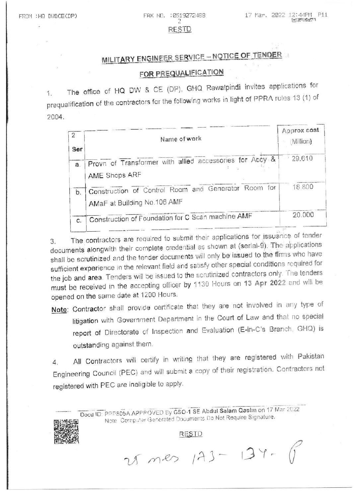#### **RESTD**

# MILITARY ENGINEER SERVICE - NOTICE OF TENDER

## FOR PREQUALIFICATION

The office of HQ DW & CE (DP), GHQ Rawalpindi invites applications for  $1$ . prequalification of the contractors for the following works in light of PPRA rules 13 (1) of 2004.

| 2<br>Ser | Name of work                                                                       | Approx cost<br>(Million) |
|----------|------------------------------------------------------------------------------------|--------------------------|
| a.       | Provn of Transformer with allied accessories for Accy &<br>AME Shops ARF           | 29,610                   |
| b.       | Construction of Control Room and Generator Room for<br>AMaF at Building No.106 AMF | 18.800                   |
| C.       | Construction of Foundation for C Scan machine AMF                                  | 20.000                   |

The contractors are required to submit their applications for issuance of tender 3. documents alongwith their complete credential as shown at (serial-9). The applications shall be scrutinized and the tender documents will only be issued to the firms who have sufficient experience in the relevant field and satisfy other special conditions required for the job and area. Tenders will be issued to the scrutinized contractors only. The tenders must be received in the accepting officer by 1130 Hours on 13 Apr 2022 and will be opened on the same date at 1200 Hours.

Note: Contractor shall provide certificate that they are not involved in any type of litigation with Government Department in the Court of Law and that no special report of Directorate of Inspection and Evaluation (E-in-C's Branch, GHQ) is outstanding against them.

All Contractors will certify in writing that they are registered with Pakistan 4. Engineering Council (PEC) and will submit a copy of their registration. Contractors not registered with PEC are ineligible to apply.

> Docu ID: PPP805A APPPOVED By GSO-1 SE Abdul Salam Qasim on 17 Mar 2022 Note: Computer Generated Documents Do Not Require Signature,

**RESTD** 

25 mes 173 - 134 - (1